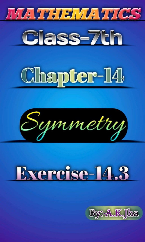







# Exercise 11.3

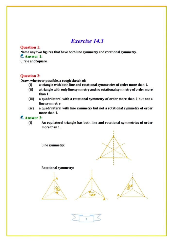# Exercise 14.3

#### Question 1:

Name any two figures that have both line symmetry and rotational symmetry. **E.** Answer 1:

Circle and Square.

#### Question 2:

Draw, wherever possible, a rough sketch of:<br>(i) a triangle with both line and rot

- a triangle with both line and rotational symmetries of order more than 1.
- (ii) a triangle with only line symmetry and no rotational symmetry of order more than 1
- (iii) a quadrilateral with a rotational symmetry of order more than 1 but not a line symmetry.
- (iv) a quadrilateral with line symmetry but not a rotational symmetry of order more than 1.

#### E. Answer 2:

0 An equilateral triangle has both line and rotational symmetries of order more than 1.

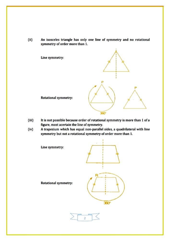(i) An isosceles triangle has only one line of symmetry and no rotational symmetry of order more than 1.





Rotational symmetry:

- (iii) It is not possible because order of rotational symmetry is more than 1 of a figure, most acertain the line of symmetry. (iv) Atrapezium which has equal non-parallel sides, a quadrilateral with line
- symmetry but not a rotational symmetry of order more than 1.

Line symmetry:



360°

Rotational symmetry:

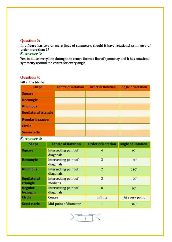#### Question 3:

In a ffgure has two or more lines of symmetry, should it have rotational symmetry of order more than 1?

## **E** Answer 3:

Yes, because every line through the centre forms a line of symmetry and it has rotational symmetry around the centre for every angle.

# Question 4:

Fill in the blanks:

| <b>Shape</b>                   | <b>Centre of Rotation</b>           | <b>Order of Rotation</b> | <b>Angle of Rotation</b> |
|--------------------------------|-------------------------------------|--------------------------|--------------------------|
| <b>Square</b>                  |                                     |                          |                          |
| <b>Rectangle</b>               |                                     |                          |                          |
| <b>Rhombus</b>                 |                                     |                          |                          |
| <b>Equilateral triangle</b>    |                                     |                          |                          |
| <b>Regular hexagon</b>         |                                     |                          |                          |
| <b>Circle</b>                  |                                     |                          |                          |
| Semi-circle                    |                                     |                          |                          |
| <b>Answer 4:</b>               |                                     |                          |                          |
| <b>Shape</b>                   | <b>Centre of Rotation</b>           | <b>Order of Rotation</b> | <b>Angle of Rotation</b> |
|                                |                                     |                          |                          |
| <b>Square</b>                  | Intersecting point of<br>diagonals. | 4                        | $90*$                    |
| <b>Rectangle</b>               | Intersecting point of<br>diagonals. | $\overline{2}$           | 180°                     |
| <b>Rhombus</b>                 | Intersecting point of<br>diagonals. | $\overline{a}$           | 180°                     |
| <b>Equilateral</b><br>triangle | Intersecting point of<br>medians.   | 3                        | 120°                     |
| <b>Regular</b><br>hexagon      | Intersecting point of<br>diagonals. | 6                        | 60°                      |
| Circle                         | Centre                              | infinite                 | At every point           |

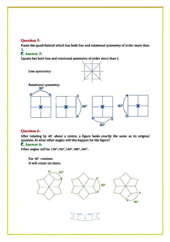#### Question 5:

Name the quadrilateral which has both line and rotational symmetry of order more than 1.

# **Answer 5:**

Square has both line and rotational symmetry of order more than 1.



## Question 6:

After rotating by 60° about a centre, a figure looks exactly the same as its original position. At what other angles will this happen for the figure?

# **E.** Answer 6:

Other angles will be 120°,180°, 240°, 300°, 360°.

For 60' rotation: It will rotate six times.

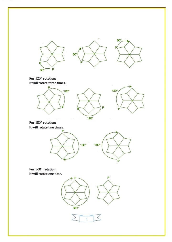

For 120° rotation: It will rotate three times.







For 180° rotation: It will rotate two times.



For 360° rotation: It will rotate one time.